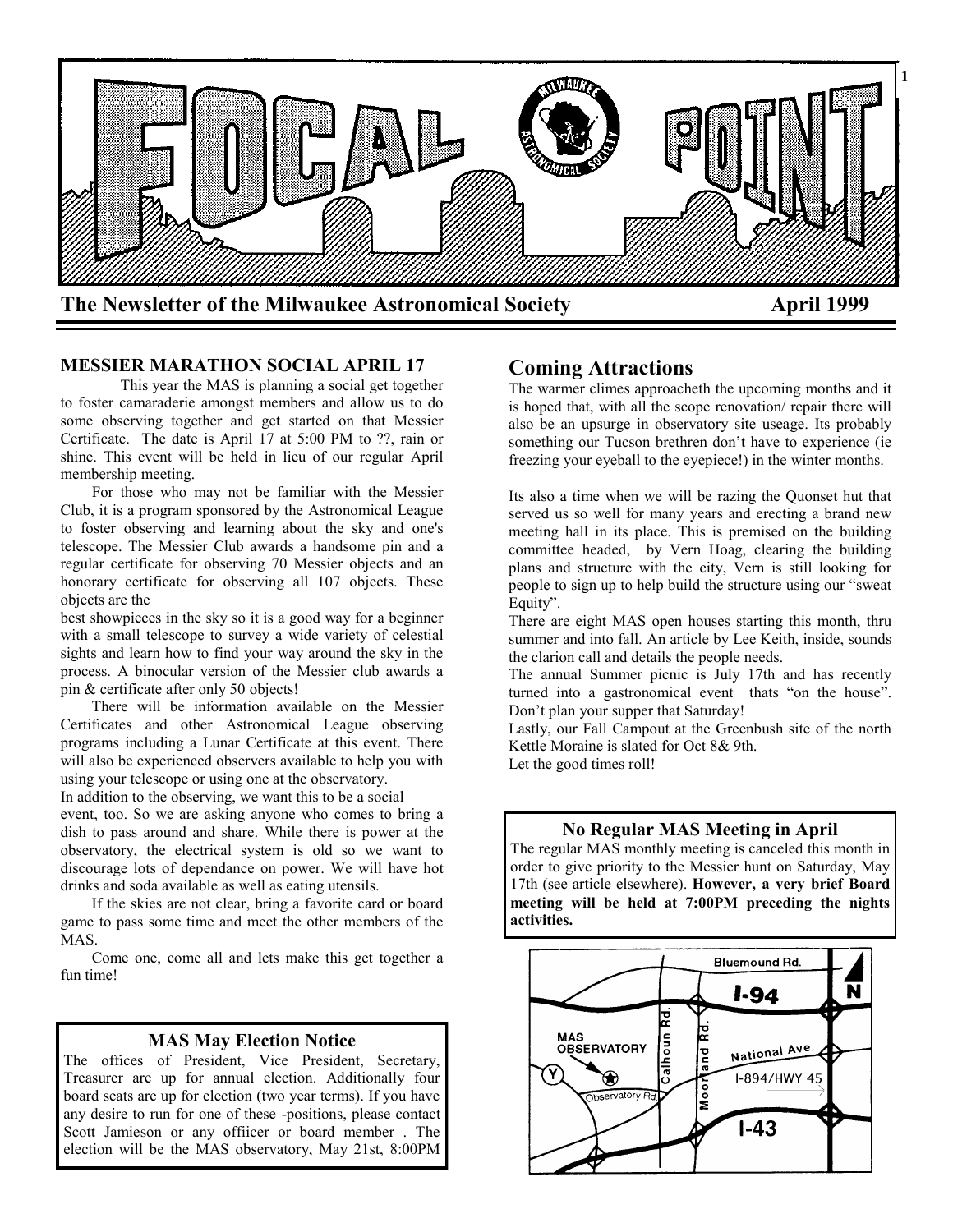

### **MESSIER MARATHON SOCIAL APRIL 17**

This year the MAS is planning a social get together to foster camaraderie amongst members and allow us to do some observing together and get started on that Messier Certificate. The date is April 17 at 5:00 PM to ??, rain or shine. This event will be held in lieu of our regular April membership meeting.

 For those who may not be familiar with the Messier Club, it is a program sponsored by the Astronomical League to foster observing and learning about the sky and one's telescope. The Messier Club awards a handsome pin and a regular certificate for observing 70 Messier objects and an honorary certificate for observing all 107 objects. These objects are the

best showpieces in the sky so it is a good way for a beginner with a small telescope to survey a wide variety of celestial sights and learn how to find your way around the sky in the process. A binocular version of the Messier club awards a pin & certificate after only 50 objects!

 There will be information available on the Messier Certificates and other Astronomical League observing programs including a Lunar Certificate at this event. There will also be experienced observers available to help you with using your telescope or using one at the observatory.

In addition to the observing, we want this to be a social event, too. So we are asking anyone who comes to bring a dish to pass around and share. While there is power at the observatory, the electrical system is old so we want to discourage lots of dependance on power. We will have hot drinks and soda available as well as eating utensils.

 If the skies are not clear, bring a favorite card or board game to pass some time and meet the other members of the MAS.

 Come one, come all and lets make this get together a fun time!

### **MAS May Election Notice**

The offices of President, Vice President, Secretary, Treasurer are up for annual election. Additionally four board seats are up for election (two year terms). If you have any desire to run for one of these -positions, please contact Scott Jamieson or any offiicer or board member . The election will be the MAS observatory, May 21st, 8:00PM

## **Coming Attractions**

The warmer climes approacheth the upcoming months and it is hoped that, with all the scope renovation/ repair there will also be an upsurge in observatory site useage. Its probably something our Tucson brethren don't have to experience (ie freezing your eyeball to the eyepiece!) in the winter months.

Its also a time when we will be razing the Quonset hut that served us so well for many years and erecting a brand new meeting hall in its place. This is premised on the building committee headed, by Vern Hoag, clearing the building plans and structure with the city, Vern is still looking for people to sign up to help build the structure using our "sweat Equity".

There are eight MAS open houses starting this month, thru summer and into fall. An article by Lee Keith, inside, sounds the clarion call and details the people needs.

The annual Summer picnic is July 17th and has recently turned into a gastronomical event thats "on the house". Don't plan your supper that Saturday!

Lastly, our Fall Campout at the Greenbush site of the north Kettle Moraine is slated for Oct 8& 9th.

Let the good times roll!

### **No Regular MAS Meeting in April**

The regular MAS monthly meeting is canceled this month in order to give priority to the Messier hunt on Saturday, May 17th (see article elsewhere). **However, a very brief Board meeting will be held at 7:00PM preceding the nights activities.**

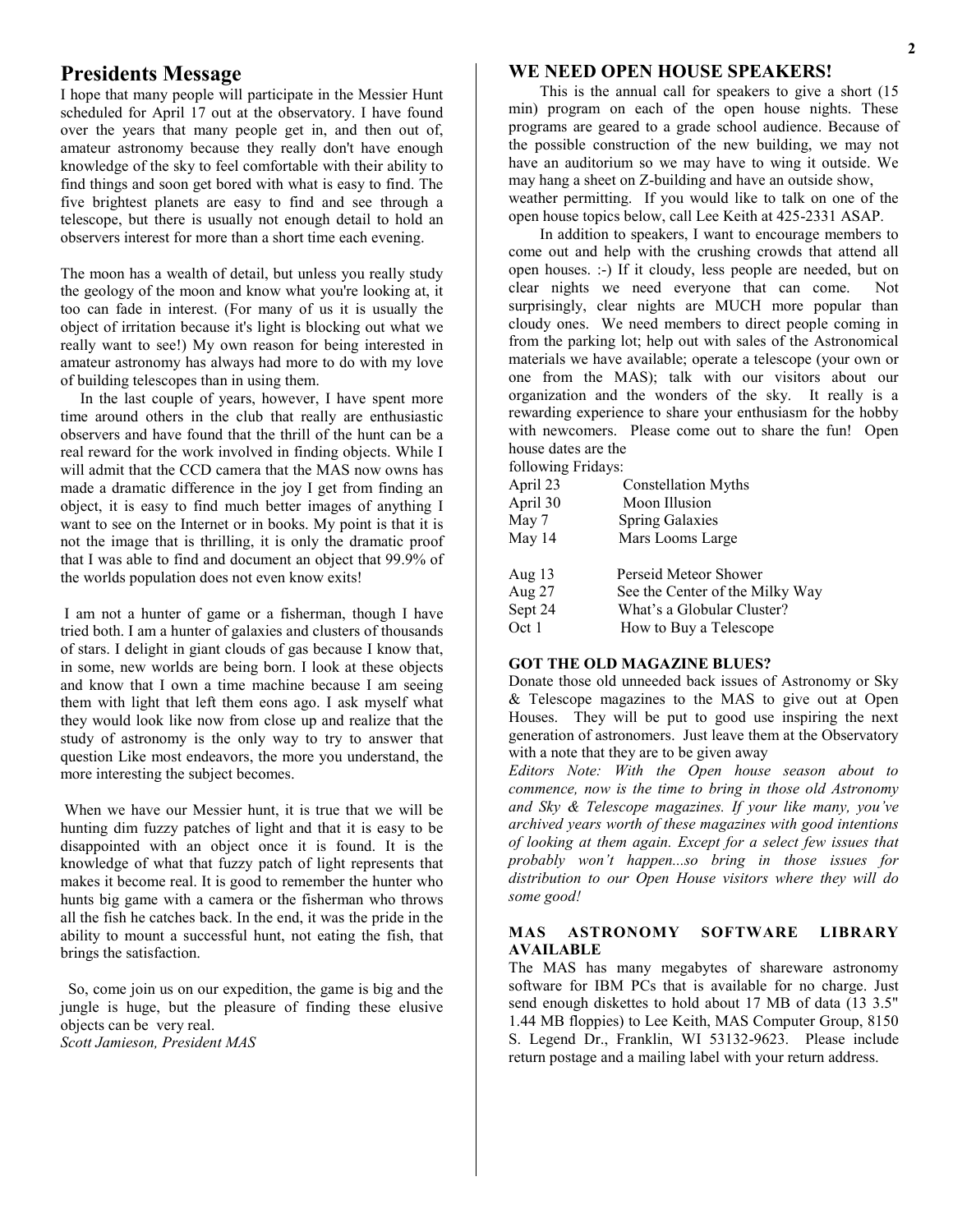## **Presidents Message**

I hope that many people will participate in the Messier Hunt scheduled for April 17 out at the observatory. I have found over the years that many people get in, and then out of, amateur astronomy because they really don't have enough knowledge of the sky to feel comfortable with their ability to find things and soon get bored with what is easy to find. The five brightest planets are easy to find and see through a telescope, but there is usually not enough detail to hold an observers interest for more than a short time each evening.

The moon has a wealth of detail, but unless you really study the geology of the moon and know what you're looking at, it too can fade in interest. (For many of us it is usually the object of irritation because it's light is blocking out what we really want to see!) My own reason for being interested in amateur astronomy has always had more to do with my love of building telescopes than in using them.

 In the last couple of years, however, I have spent more time around others in the club that really are enthusiastic observers and have found that the thrill of the hunt can be a real reward for the work involved in finding objects. While I will admit that the CCD camera that the MAS now owns has made a dramatic difference in the joy I get from finding an object, it is easy to find much better images of anything I want to see on the Internet or in books. My point is that it is not the image that is thrilling, it is only the dramatic proof that I was able to find and document an object that 99.9% of the worlds population does not even know exits!

I am not a hunter of game or a fisherman, though I have tried both. I am a hunter of galaxies and clusters of thousands of stars. I delight in giant clouds of gas because I know that, in some, new worlds are being born. I look at these objects and know that I own a time machine because I am seeing them with light that left them eons ago. I ask myself what they would look like now from close up and realize that the study of astronomy is the only way to try to answer that question Like most endeavors, the more you understand, the more interesting the subject becomes.

When we have our Messier hunt, it is true that we will be hunting dim fuzzy patches of light and that it is easy to be disappointed with an object once it is found. It is the knowledge of what that fuzzy patch of light represents that makes it become real. It is good to remember the hunter who hunts big game with a camera or the fisherman who throws all the fish he catches back. In the end, it was the pride in the ability to mount a successful hunt, not eating the fish, that brings the satisfaction.

 So, come join us on our expedition, the game is big and the jungle is huge, but the pleasure of finding these elusive objects can be very real. *Scott Jamieson, President MAS*

### **WE NEED OPEN HOUSE SPEAKERS!**

 This is the annual call for speakers to give a short (15 min) program on each of the open house nights. These programs are geared to a grade school audience. Because of the possible construction of the new building, we may not have an auditorium so we may have to wing it outside. We may hang a sheet on Z-building and have an outside show, weather permitting. If you would like to talk on one of the open house topics below, call Lee Keith at 425-2331 ASAP.

 In addition to speakers, I want to encourage members to come out and help with the crushing crowds that attend all open houses. :-) If it cloudy, less people are needed, but on clear nights we need everyone that can come. Not surprisingly, clear nights are MUCH more popular than cloudy ones. We need members to direct people coming in from the parking lot; help out with sales of the Astronomical materials we have available; operate a telescope (your own or one from the MAS); talk with our visitors about our organization and the wonders of the sky. It really is a rewarding experience to share your enthusiasm for the hobby with newcomers. Please come out to share the fun! Open house dates are the

following Fridays:

| <b>Constellation Myths</b>      |
|---------------------------------|
| Moon Illusion                   |
| <b>Spring Galaxies</b>          |
| Mars Looms Large                |
| Perseid Meteor Shower           |
| See the Center of the Milky Way |
| What's a Globular Cluster?      |
| How to Buy a Telescope          |
|                                 |

### **GOT THE OLD MAGAZINE BLUES?**

Donate those old unneeded back issues of Astronomy or Sky & Telescope magazines to the MAS to give out at Open Houses. They will be put to good use inspiring the next generation of astronomers. Just leave them at the Observatory with a note that they are to be given away

*Editors Note: With the Open house season about to commence, now is the time to bring in those old Astronomy and Sky & Telescope magazines. If your like many, you've archived years worth of these magazines with good intentions of looking at them again. Except for a select few issues that probably won't happen...so bring in those issues for distribution to our Open House visitors where they will do some good!*

#### **MAS ASTRONOMY SOFTWARE LIBRARY AVAILABLE**

The MAS has many megabytes of shareware astronomy software for IBM PCs that is available for no charge. Just send enough diskettes to hold about 17 MB of data (13 3.5" 1.44 MB floppies) to Lee Keith, MAS Computer Group, 8150 S. Legend Dr., Franklin, WI 53132-9623. Please include return postage and a mailing label with your return address.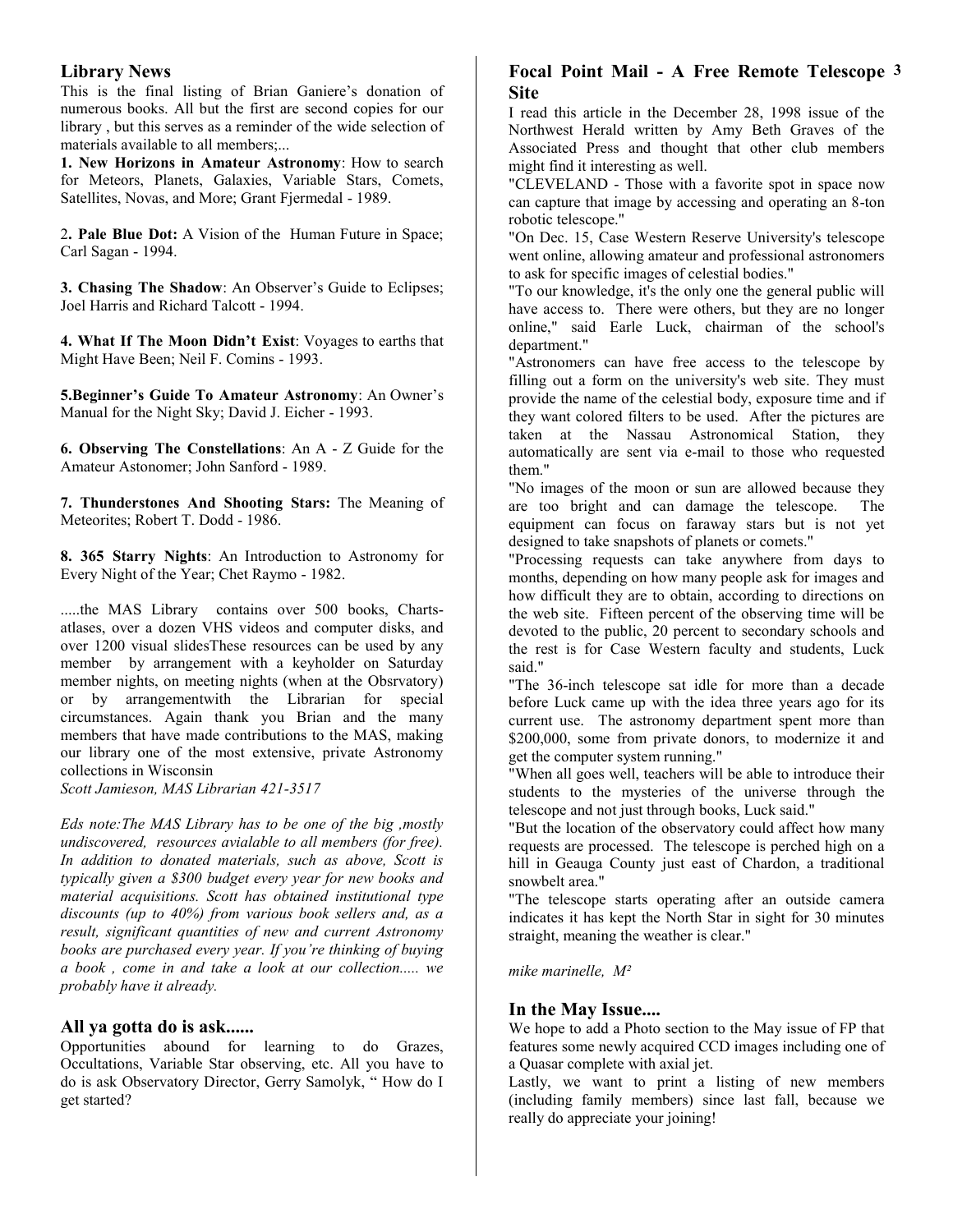### **Library News**

This is the final listing of Brian Ganiere's donation of numerous books. All but the first are second copies for our library , but this serves as a reminder of the wide selection of materials available to all members;...

**1. New Horizons in Amateur Astronomy**: How to search for Meteors, Planets, Galaxies, Variable Stars, Comets, Satellites, Novas, and More; Grant Fjermedal - 1989.

2**. Pale Blue Dot:** A Vision of the Human Future in Space; Carl Sagan - 1994.

**3. Chasing The Shadow**: An Observer's Guide to Eclipses; Joel Harris and Richard Talcott - 1994.

**4. What If The Moon Didn't Exist**: Voyages to earths that Might Have Been; Neil F. Comins - 1993.

**5.Beginner's Guide To Amateur Astronomy**: An Owner's Manual for the Night Sky; David J. Eicher - 1993.

**6. Observing The Constellations**: An A - Z Guide for the Amateur Astonomer; John Sanford - 1989.

**7. Thunderstones And Shooting Stars:** The Meaning of Meteorites; Robert T. Dodd - 1986.

**8. 365 Starry Nights**: An Introduction to Astronomy for Every Night of the Year; Chet Raymo - 1982.

.....the MAS Library contains over 500 books, Chartsatlases, over a dozen VHS videos and computer disks, and over 1200 visual slidesThese resources can be used by any member by arrangement with a keyholder on Saturday member nights, on meeting nights (when at the Obsrvatory) or by arrangementwith the Librarian for special circumstances. Again thank you Brian and the many members that have made contributions to the MAS, making our library one of the most extensive, private Astronomy collections in Wisconsin

*Scott Jamieson, MAS Librarian 421-3517*

*Eds note:The MAS Library has to be one of the big ,mostly undiscovered, resources avialable to all members (for free). In addition to donated materials, such as above, Scott is typically given a \$300 budget every year for new books and material acquisitions. Scott has obtained institutional type discounts (up to 40%) from various book sellers and, as a result, significant quantities of new and current Astronomy books are purchased every year. If you're thinking of buying a book , come in and take a look at our collection..... we probably have it already.*

### **All ya gotta do is ask......**

Opportunities abound for learning to do Grazes, Occultations, Variable Star observing, etc. All you have to do is ask Observatory Director, Gerry Samolyk, " How do I get started?

## **Focal Point Mail - A Free Remote Telescope 3 Site**

I read this article in the December 28, 1998 issue of the Northwest Herald written by Amy Beth Graves of the Associated Press and thought that other club members might find it interesting as well.

"CLEVELAND - Those with a favorite spot in space now can capture that image by accessing and operating an 8-ton robotic telescope."

"On Dec. 15, Case Western Reserve University's telescope went online, allowing amateur and professional astronomers to ask for specific images of celestial bodies."

"To our knowledge, it's the only one the general public will have access to. There were others, but they are no longer online," said Earle Luck, chairman of the school's department."

"Astronomers can have free access to the telescope by filling out a form on the university's web site. They must provide the name of the celestial body, exposure time and if they want colored filters to be used. After the pictures are taken at the Nassau Astronomical Station, they automatically are sent via e-mail to those who requested them."

"No images of the moon or sun are allowed because they are too bright and can damage the telescope. The equipment can focus on faraway stars but is not yet designed to take snapshots of planets or comets."

"Processing requests can take anywhere from days to months, depending on how many people ask for images and how difficult they are to obtain, according to directions on the web site. Fifteen percent of the observing time will be devoted to the public, 20 percent to secondary schools and the rest is for Case Western faculty and students, Luck said."

"The 36-inch telescope sat idle for more than a decade before Luck came up with the idea three years ago for its current use. The astronomy department spent more than \$200,000, some from private donors, to modernize it and get the computer system running."

"When all goes well, teachers will be able to introduce their students to the mysteries of the universe through the telescope and not just through books, Luck said."

"But the location of the observatory could affect how many requests are processed. The telescope is perched high on a hill in Geauga County just east of Chardon, a traditional snowbelt area."

"The telescope starts operating after an outside camera indicates it has kept the North Star in sight for 30 minutes straight, meaning the weather is clear."

*mike marinelle, M²* 

### **In the May Issue....**

We hope to add a Photo section to the May issue of FP that features some newly acquired CCD images including one of a Quasar complete with axial jet.

Lastly, we want to print a listing of new members (including family members) since last fall, because we really do appreciate your joining!